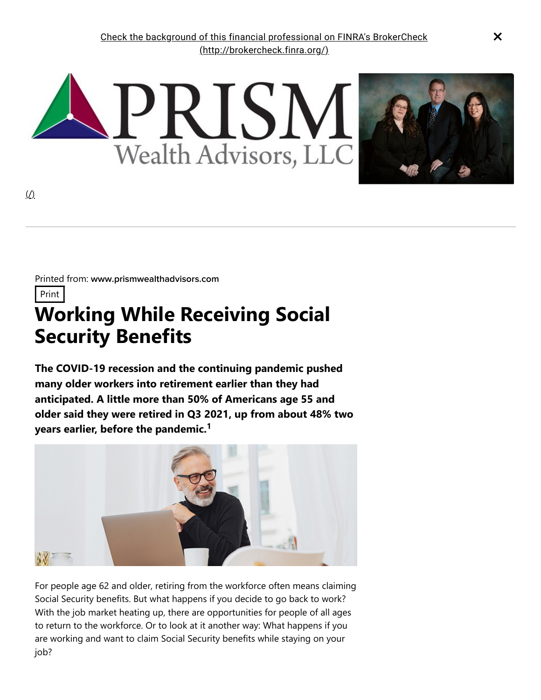

Printed from: www.prismwealthadvisors.com

Print

# **Working While Receiving Social Security Benefits**

**The COVID-19 recession and the continuing pandemic pushed many older workers into retirement earlier than they had anticipated. A little more than 50% of Americans age 55 and older said they were retired in Q3 2021, up from about 48% two years earlier, before the pandemic. 1**



For people age 62 and older, retiring from the workforce often means claiming Social Security benefits. But what happens if you decide to go back to work? With the job market heating up, there are opportunities for people of all ages to return to the workforce. Or to look at it another way: What happens if you are working and want to claim Social Security benefits while staying on your job?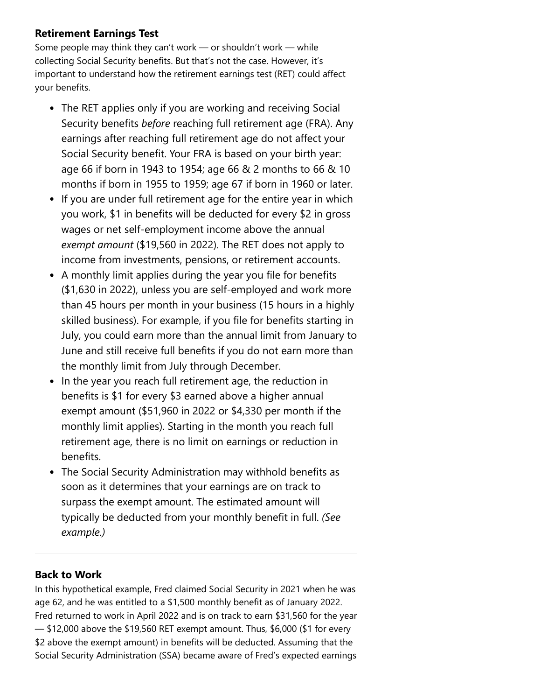## **Retirement Earnings Test**

Some people may think they can't work — or shouldn't work — while collecting Social Security benefits. But that's not the case. However, it's important to understand how the retirement earnings test (RET) could affect your benefits.

- The RET applies only if you are working and receiving Social Security benefits *before* reaching full retirement age (FRA). Any earnings after reaching full retirement age do not affect your Social Security benefit. Your FRA is based on your birth year: age 66 if born in 1943 to 1954; age 66 & 2 months to 66 & 10 months if born in 1955 to 1959; age 67 if born in 1960 or later.
- If you are under full retirement age for the entire year in which you work, \$1 in benefits will be deducted for every \$2 in gross wages or net self-employment income above the annual *exempt amount* (\$19,560 in 2022). The RET does not apply to income from investments, pensions, or retirement accounts.
- A monthly limit applies during the year you file for benefits (\$1,630 in 2022), unless you are self-employed and work more than 45 hours per month in your business (15 hours in a highly skilled business). For example, if you file for benefits starting in July, you could earn more than the annual limit from January to June and still receive full benefits if you do not earn more than the monthly limit from July through December.
- In the year you reach full retirement age, the reduction in benefits is \$1 for every \$3 earned above a higher annual exempt amount (\$51,960 in 2022 or \$4,330 per month if the monthly limit applies). Starting in the month you reach full retirement age, there is no limit on earnings or reduction in benefits.
- The Social Security Administration may withhold benefits as soon as it determines that your earnings are on track to surpass the exempt amount. The estimated amount will typically be deducted from your monthly benefit in full. *(See example.)*

## **Back to Work**

In this hypothetical example, Fred claimed Social Security in 2021 when he was age 62, and he was entitled to a \$1,500 monthly benefit as of January 2022. Fred returned to work in April 2022 and is on track to earn \$31,560 for the year — \$12,000 above the \$19,560 RET exempt amount. Thus, \$6,000 (\$1 for every \$2 above the exempt amount) in benefits will be deducted. Assuming that the Social Security Administration (SSA) became aware of Fred's expected earnings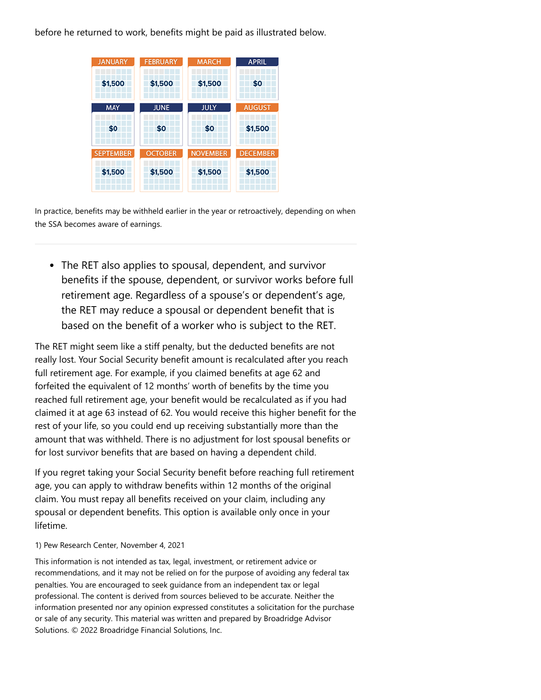before he returned to work, benefits might be paid as illustrated below.



In practice, benefits may be withheld earlier in the year or retroactively, depending on when the SSA becomes aware of earnings.

The RET also applies to spousal, dependent, and survivor benefits if the spouse, dependent, or survivor works before full retirement age. Regardless of a spouse's or dependent's age, the RET may reduce a spousal or dependent benefit that is based on the benefit of a worker who is subject to the RET.

The RET might seem like a stiff penalty, but the deducted benefits are not really lost. Your Social Security benefit amount is recalculated after you reach full retirement age. For example, if you claimed benefits at age 62 and forfeited the equivalent of 12 months' worth of benefits by the time you reached full retirement age, your benefit would be recalculated as if you had claimed it at age 63 instead of 62. You would receive this higher benefit for the rest of your life, so you could end up receiving substantially more than the amount that was withheld. There is no adjustment for lost spousal benefits or for lost survivor benefits that are based on having a dependent child.

If you regret taking your Social Security benefit before reaching full retirement age, you can apply to withdraw benefits within 12 months of the original claim. You must repay all benefits received on your claim, including any spousal or dependent benefits. This option is available only once in your lifetime.

#### 1) Pew Research Center, November 4, 2021

This information is not intended as tax, legal, investment, or retirement advice or recommendations, and it may not be relied on for the purpose of avoiding any federal tax penalties. You are encouraged to seek guidance from an independent tax or legal professional. The content is derived from sources believed to be accurate. Neither the information presented nor any opinion expressed constitutes a solicitation for the purchase or sale of any security. This material was written and prepared by Broadridge Advisor Solutions. © 2022 Broadridge Financial Solutions, Inc.